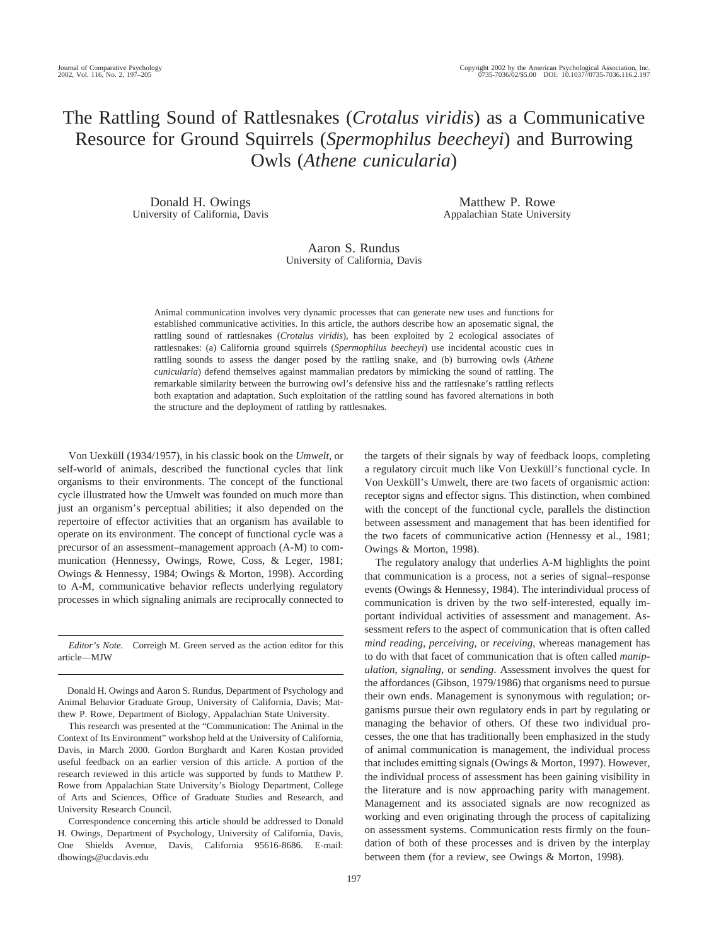# The Rattling Sound of Rattlesnakes (*Crotalus viridis*) as a Communicative Resource for Ground Squirrels (*Spermophilus beecheyi*) and Burrowing Owls (*Athene cunicularia*)

Donald H. Owings University of California, Davis

Matthew P. Rowe Appalachian State University

## Aaron S. Rundus University of California, Davis

Animal communication involves very dynamic processes that can generate new uses and functions for established communicative activities. In this article, the authors describe how an aposematic signal, the rattling sound of rattlesnakes (*Crotalus viridis*), has been exploited by 2 ecological associates of rattlesnakes: (a) California ground squirrels (*Spermophilus beecheyi*) use incidental acoustic cues in rattling sounds to assess the danger posed by the rattling snake, and (b) burrowing owls (*Athene cunicularia*) defend themselves against mammalian predators by mimicking the sound of rattling. The remarkable similarity between the burrowing owl's defensive hiss and the rattlesnake's rattling reflects both exaptation and adaptation. Such exploitation of the rattling sound has favored alternations in both the structure and the deployment of rattling by rattlesnakes.

Von Uexküll (1934/1957), in his classic book on the *Umwelt*, or self-world of animals, described the functional cycles that link organisms to their environments. The concept of the functional cycle illustrated how the Umwelt was founded on much more than just an organism's perceptual abilities; it also depended on the repertoire of effector activities that an organism has available to operate on its environment. The concept of functional cycle was a precursor of an assessment–management approach (A-M) to communication (Hennessy, Owings, Rowe, Coss, & Leger, 1981; Owings & Hennessy, 1984; Owings & Morton, 1998). According to A-M, communicative behavior reflects underlying regulatory processes in which signaling animals are reciprocally connected to

*Editor's Note.* Correigh M. Green served as the action editor for this article—MJW

Donald H. Owings and Aaron S. Rundus, Department of Psychology and Animal Behavior Graduate Group, University of California, Davis; Matthew P. Rowe, Department of Biology, Appalachian State University.

This research was presented at the "Communication: The Animal in the Context of Its Environment" workshop held at the University of California, Davis, in March 2000. Gordon Burghardt and Karen Kostan provided useful feedback on an earlier version of this article. A portion of the research reviewed in this article was supported by funds to Matthew P. Rowe from Appalachian State University's Biology Department, College of Arts and Sciences, Office of Graduate Studies and Research, and University Research Council.

Correspondence concerning this article should be addressed to Donald H. Owings, Department of Psychology, University of California, Davis, One Shields Avenue, Davis, California 95616-8686. E-mail: dhowings@ucdavis.edu

the targets of their signals by way of feedback loops, completing a regulatory circuit much like Von Uexküll's functional cycle. In Von Uexküll's Umwelt, there are two facets of organismic action: receptor signs and effector signs. This distinction, when combined with the concept of the functional cycle, parallels the distinction between assessment and management that has been identified for the two facets of communicative action (Hennessy et al., 1981; Owings & Morton, 1998).

The regulatory analogy that underlies A-M highlights the point that communication is a process, not a series of signal–response events (Owings & Hennessy, 1984). The interindividual process of communication is driven by the two self-interested, equally important individual activities of assessment and management. Assessment refers to the aspect of communication that is often called *mind reading*, *perceiving*, or *receiving*, whereas management has to do with that facet of communication that is often called *manipulation*, *signaling*, or *sending*. Assessment involves the quest for the affordances (Gibson, 1979/1986) that organisms need to pursue their own ends. Management is synonymous with regulation; organisms pursue their own regulatory ends in part by regulating or managing the behavior of others. Of these two individual processes, the one that has traditionally been emphasized in the study of animal communication is management, the individual process that includes emitting signals (Owings & Morton, 1997). However, the individual process of assessment has been gaining visibility in the literature and is now approaching parity with management. Management and its associated signals are now recognized as working and even originating through the process of capitalizing on assessment systems. Communication rests firmly on the foundation of both of these processes and is driven by the interplay between them (for a review, see Owings & Morton, 1998).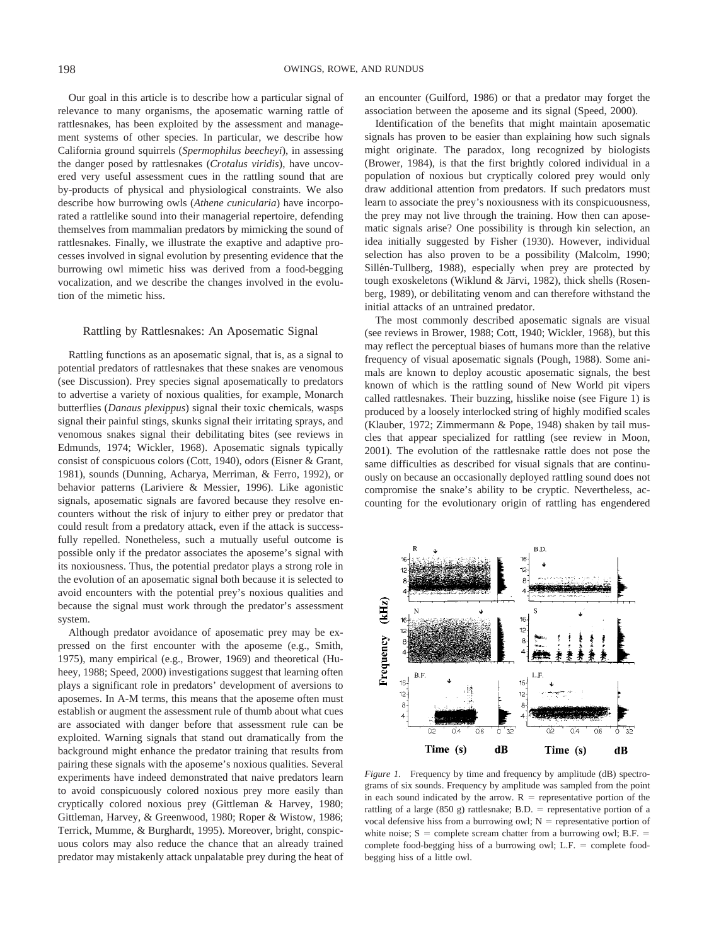Our goal in this article is to describe how a particular signal of relevance to many organisms, the aposematic warning rattle of rattlesnakes, has been exploited by the assessment and management systems of other species. In particular, we describe how California ground squirrels (*Spermophilus beecheyi*), in assessing the danger posed by rattlesnakes (*Crotalus viridis*), have uncovered very useful assessment cues in the rattling sound that are by-products of physical and physiological constraints. We also describe how burrowing owls (*Athene cunicularia*) have incorporated a rattlelike sound into their managerial repertoire, defending themselves from mammalian predators by mimicking the sound of rattlesnakes. Finally, we illustrate the exaptive and adaptive processes involved in signal evolution by presenting evidence that the burrowing owl mimetic hiss was derived from a food-begging vocalization, and we describe the changes involved in the evolution of the mimetic hiss.

### Rattling by Rattlesnakes: An Aposematic Signal

Rattling functions as an aposematic signal, that is, as a signal to potential predators of rattlesnakes that these snakes are venomous (see Discussion). Prey species signal aposematically to predators to advertise a variety of noxious qualities, for example, Monarch butterflies (*Danaus plexippus*) signal their toxic chemicals, wasps signal their painful stings, skunks signal their irritating sprays, and venomous snakes signal their debilitating bites (see reviews in Edmunds, 1974; Wickler, 1968). Aposematic signals typically consist of conspicuous colors (Cott, 1940), odors (Eisner & Grant, 1981), sounds (Dunning, Acharya, Merriman, & Ferro, 1992), or behavior patterns (Lariviere & Messier, 1996). Like agonistic signals, aposematic signals are favored because they resolve encounters without the risk of injury to either prey or predator that could result from a predatory attack, even if the attack is successfully repelled. Nonetheless, such a mutually useful outcome is possible only if the predator associates the aposeme's signal with its noxiousness. Thus, the potential predator plays a strong role in the evolution of an aposematic signal both because it is selected to avoid encounters with the potential prey's noxious qualities and because the signal must work through the predator's assessment system.

Although predator avoidance of aposematic prey may be expressed on the first encounter with the aposeme (e.g., Smith, 1975), many empirical (e.g., Brower, 1969) and theoretical (Huheey, 1988; Speed, 2000) investigations suggest that learning often plays a significant role in predators' development of aversions to aposemes. In A-M terms, this means that the aposeme often must establish or augment the assessment rule of thumb about what cues are associated with danger before that assessment rule can be exploited. Warning signals that stand out dramatically from the background might enhance the predator training that results from pairing these signals with the aposeme's noxious qualities. Several experiments have indeed demonstrated that naive predators learn to avoid conspicuously colored noxious prey more easily than cryptically colored noxious prey (Gittleman & Harvey, 1980; Gittleman, Harvey, & Greenwood, 1980; Roper & Wistow, 1986; Terrick, Mumme, & Burghardt, 1995). Moreover, bright, conspicuous colors may also reduce the chance that an already trained predator may mistakenly attack unpalatable prey during the heat of an encounter (Guilford, 1986) or that a predator may forget the association between the aposeme and its signal (Speed, 2000).

Identification of the benefits that might maintain aposematic signals has proven to be easier than explaining how such signals might originate. The paradox, long recognized by biologists (Brower, 1984), is that the first brightly colored individual in a population of noxious but cryptically colored prey would only draw additional attention from predators. If such predators must learn to associate the prey's noxiousness with its conspicuousness, the prey may not live through the training. How then can aposematic signals arise? One possibility is through kin selection, an idea initially suggested by Fisher (1930). However, individual selection has also proven to be a possibility (Malcolm, 1990; Sillén-Tullberg, 1988), especially when prey are protected by tough exoskeletons (Wiklund & Järvi, 1982), thick shells (Rosenberg, 1989), or debilitating venom and can therefore withstand the initial attacks of an untrained predator.

The most commonly described aposematic signals are visual (see reviews in Brower, 1988; Cott, 1940; Wickler, 1968), but this may reflect the perceptual biases of humans more than the relative frequency of visual aposematic signals (Pough, 1988). Some animals are known to deploy acoustic aposematic signals, the best known of which is the rattling sound of New World pit vipers called rattlesnakes. Their buzzing, hisslike noise (see Figure 1) is produced by a loosely interlocked string of highly modified scales (Klauber, 1972; Zimmermann & Pope, 1948) shaken by tail muscles that appear specialized for rattling (see review in Moon, 2001). The evolution of the rattlesnake rattle does not pose the same difficulties as described for visual signals that are continuously on because an occasionally deployed rattling sound does not compromise the snake's ability to be cryptic. Nevertheless, accounting for the evolutionary origin of rattling has engendered



*Figure 1.* Frequency by time and frequency by amplitude (dB) spectrograms of six sounds. Frequency by amplitude was sampled from the point in each sound indicated by the arrow.  $R =$  representative portion of the rattling of a large (850 g) rattlesnake; B.D. = representative portion of a vocal defensive hiss from a burrowing owl;  $N =$  representative portion of white noise;  $S =$  complete scream chatter from a burrowing owl; B.F. = complete food-begging hiss of a burrowing owl; L.F. = complete foodbegging hiss of a little owl.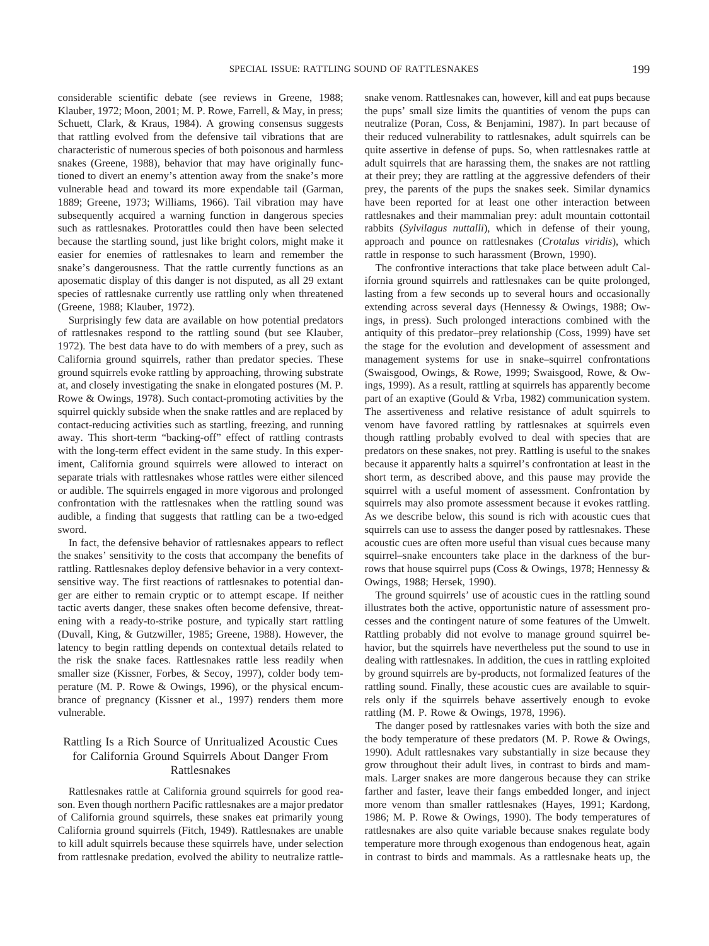considerable scientific debate (see reviews in Greene, 1988; Klauber, 1972; Moon, 2001; M. P. Rowe, Farrell, & May, in press; Schuett, Clark, & Kraus, 1984). A growing consensus suggests that rattling evolved from the defensive tail vibrations that are characteristic of numerous species of both poisonous and harmless snakes (Greene, 1988), behavior that may have originally functioned to divert an enemy's attention away from the snake's more vulnerable head and toward its more expendable tail (Garman, 1889; Greene, 1973; Williams, 1966). Tail vibration may have subsequently acquired a warning function in dangerous species such as rattlesnakes. Protorattles could then have been selected because the startling sound, just like bright colors, might make it easier for enemies of rattlesnakes to learn and remember the snake's dangerousness. That the rattle currently functions as an aposematic display of this danger is not disputed, as all 29 extant species of rattlesnake currently use rattling only when threatened (Greene, 1988; Klauber, 1972).

Surprisingly few data are available on how potential predators of rattlesnakes respond to the rattling sound (but see Klauber, 1972). The best data have to do with members of a prey, such as California ground squirrels, rather than predator species. These ground squirrels evoke rattling by approaching, throwing substrate at, and closely investigating the snake in elongated postures (M. P. Rowe & Owings, 1978). Such contact-promoting activities by the squirrel quickly subside when the snake rattles and are replaced by contact-reducing activities such as startling, freezing, and running away. This short-term "backing-off" effect of rattling contrasts with the long-term effect evident in the same study. In this experiment, California ground squirrels were allowed to interact on separate trials with rattlesnakes whose rattles were either silenced or audible. The squirrels engaged in more vigorous and prolonged confrontation with the rattlesnakes when the rattling sound was audible, a finding that suggests that rattling can be a two-edged sword.

In fact, the defensive behavior of rattlesnakes appears to reflect the snakes' sensitivity to the costs that accompany the benefits of rattling. Rattlesnakes deploy defensive behavior in a very contextsensitive way. The first reactions of rattlesnakes to potential danger are either to remain cryptic or to attempt escape. If neither tactic averts danger, these snakes often become defensive, threatening with a ready-to-strike posture, and typically start rattling (Duvall, King, & Gutzwiller, 1985; Greene, 1988). However, the latency to begin rattling depends on contextual details related to the risk the snake faces. Rattlesnakes rattle less readily when smaller size (Kissner, Forbes, & Secoy, 1997), colder body temperature (M. P. Rowe & Owings, 1996), or the physical encumbrance of pregnancy (Kissner et al., 1997) renders them more vulnerable.

## Rattling Is a Rich Source of Unritualized Acoustic Cues for California Ground Squirrels About Danger From Rattlesnakes

Rattlesnakes rattle at California ground squirrels for good reason. Even though northern Pacific rattlesnakes are a major predator of California ground squirrels, these snakes eat primarily young California ground squirrels (Fitch, 1949). Rattlesnakes are unable to kill adult squirrels because these squirrels have, under selection from rattlesnake predation, evolved the ability to neutralize rattlesnake venom. Rattlesnakes can, however, kill and eat pups because the pups' small size limits the quantities of venom the pups can neutralize (Poran, Coss, & Benjamini, 1987). In part because of their reduced vulnerability to rattlesnakes, adult squirrels can be quite assertive in defense of pups. So, when rattlesnakes rattle at adult squirrels that are harassing them, the snakes are not rattling at their prey; they are rattling at the aggressive defenders of their prey, the parents of the pups the snakes seek. Similar dynamics have been reported for at least one other interaction between rattlesnakes and their mammalian prey: adult mountain cottontail rabbits (*Sylvilagus nuttalli*), which in defense of their young, approach and pounce on rattlesnakes (*Crotalus viridis*), which rattle in response to such harassment (Brown, 1990).

The confrontive interactions that take place between adult California ground squirrels and rattlesnakes can be quite prolonged, lasting from a few seconds up to several hours and occasionally extending across several days (Hennessy & Owings, 1988; Owings, in press). Such prolonged interactions combined with the antiquity of this predator–prey relationship (Coss, 1999) have set the stage for the evolution and development of assessment and management systems for use in snake–squirrel confrontations (Swaisgood, Owings, & Rowe, 1999; Swaisgood, Rowe, & Owings, 1999). As a result, rattling at squirrels has apparently become part of an exaptive (Gould & Vrba, 1982) communication system. The assertiveness and relative resistance of adult squirrels to venom have favored rattling by rattlesnakes at squirrels even though rattling probably evolved to deal with species that are predators on these snakes, not prey. Rattling is useful to the snakes because it apparently halts a squirrel's confrontation at least in the short term, as described above, and this pause may provide the squirrel with a useful moment of assessment. Confrontation by squirrels may also promote assessment because it evokes rattling. As we describe below, this sound is rich with acoustic cues that squirrels can use to assess the danger posed by rattlesnakes. These acoustic cues are often more useful than visual cues because many squirrel–snake encounters take place in the darkness of the burrows that house squirrel pups (Coss & Owings, 1978; Hennessy & Owings, 1988; Hersek, 1990).

The ground squirrels' use of acoustic cues in the rattling sound illustrates both the active, opportunistic nature of assessment processes and the contingent nature of some features of the Umwelt. Rattling probably did not evolve to manage ground squirrel behavior, but the squirrels have nevertheless put the sound to use in dealing with rattlesnakes. In addition, the cues in rattling exploited by ground squirrels are by-products, not formalized features of the rattling sound. Finally, these acoustic cues are available to squirrels only if the squirrels behave assertively enough to evoke rattling (M. P. Rowe & Owings, 1978, 1996).

The danger posed by rattlesnakes varies with both the size and the body temperature of these predators (M. P. Rowe & Owings, 1990). Adult rattlesnakes vary substantially in size because they grow throughout their adult lives, in contrast to birds and mammals. Larger snakes are more dangerous because they can strike farther and faster, leave their fangs embedded longer, and inject more venom than smaller rattlesnakes (Hayes, 1991; Kardong, 1986; M. P. Rowe & Owings, 1990). The body temperatures of rattlesnakes are also quite variable because snakes regulate body temperature more through exogenous than endogenous heat, again in contrast to birds and mammals. As a rattlesnake heats up, the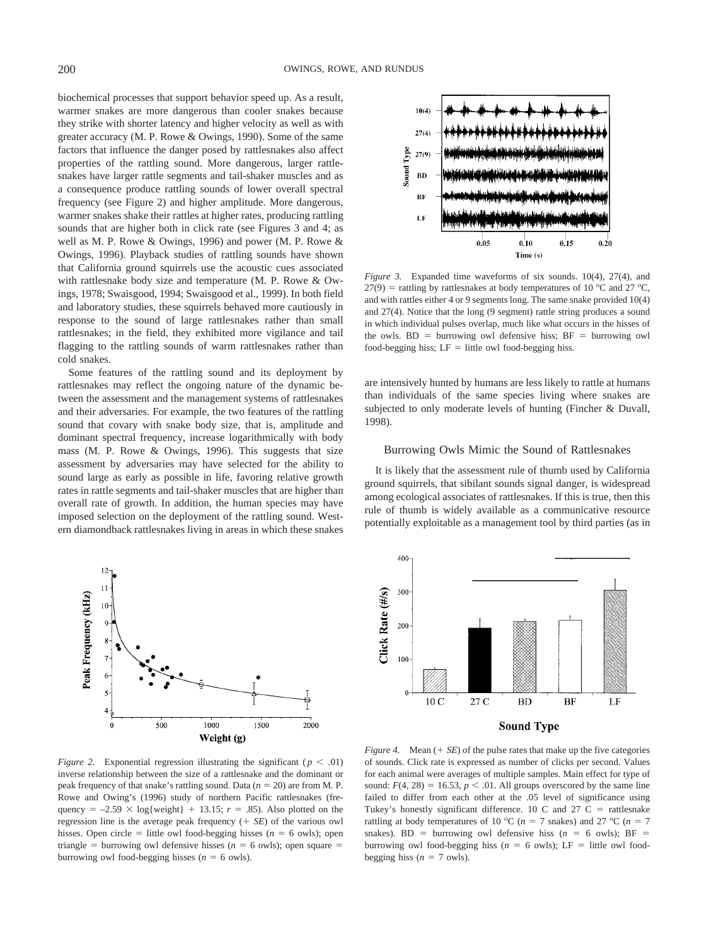biochemical processes that support behavior speed up. As a result, warmer snakes are more dangerous than cooler snakes because they strike with shorter latency and higher velocity as well as with greater accuracy (M. P. Rowe & Owings, 1990). Some of the same factors that influence the danger posed by rattlesnakes also affect properties of the rattling sound. More dangerous, larger rattlesnakes have larger rattle segments and tail-shaker muscles and as a consequence produce rattling sounds of lower overall spectral frequency (see Figure 2) and higher amplitude. More dangerous, warmer snakes shake their rattles at higher rates, producing rattling sounds that are higher both in click rate (see Figures 3 and 4; as well as M. P. Rowe & Owings, 1996) and power (M. P. Rowe & Owings, 1996). Playback studies of rattling sounds have shown that California ground squirrels use the acoustic cues associated with rattlesnake body size and temperature (M. P. Rowe & Owings, 1978; Swaisgood, 1994; Swaisgood et al., 1999). In both field and laboratory studies, these squirrels behaved more cautiously in response to the sound of large rattlesnakes rather than small rattlesnakes; in the field, they exhibited more vigilance and tail flagging to the rattling sounds of warm rattlesnakes rather than cold snakes.

Some features of the rattling sound and its deployment by rattlesnakes may reflect the ongoing nature of the dynamic between the assessment and the management systems of rattlesnakes and their adversaries. For example, the two features of the rattling sound that covary with snake body size, that is, amplitude and dominant spectral frequency, increase logarithmically with body mass (M. P. Rowe & Owings, 1996). This suggests that size assessment by adversaries may have selected for the ability to sound large as early as possible in life, favoring relative growth rates in rattle segments and tail-shaker muscles that are higher than overall rate of growth. In addition, the human species may have imposed selection on the deployment of the rattling sound. Western diamondback rattlesnakes living in areas in which these snakes



*Figure 2.* Exponential regression illustrating the significant ( $p < .01$ ) inverse relationship between the size of a rattlesnake and the dominant or peak frequency of that snake's rattling sound. Data  $(n = 20)$  are from M. P. Rowe and Owing's (1996) study of northern Pacific rattlesnakes (frequency =  $-2.59 \times \log\{\text{weight}\} + 13.15$ ; *r* = .85). Also plotted on the regression line is the average peak frequency  $(+ \, S_E)$  of the various owl hisses. Open circle  $=$  little owl food-begging hisses ( $n = 6$  owls); open triangle = burrowing owl defensive hisses ( $n = 6$  owls); open square = burrowing owl food-begging hisses  $(n = 6$  owls).



*Figure 3.* Expanded time waveforms of six sounds. 10(4), 27(4), and  $27(9)$  = rattling by rattlesnakes at body temperatures of 10 °C and 27 °C, and with rattles either 4 or 9 segments long. The same snake provided 10(4) and 27(4). Notice that the long (9 segment) rattle string produces a sound in which individual pulses overlap, much like what occurs in the hisses of the owls.  $BD =$  burrowing owl defensive hiss;  $BF =$  burrowing owl food-begging hiss;  $LF =$  little owl food-begging hiss.

are intensively hunted by humans are less likely to rattle at humans than individuals of the same species living where snakes are subjected to only moderate levels of hunting (Fincher & Duvall, 1998).

#### Burrowing Owls Mimic the Sound of Rattlesnakes

It is likely that the assessment rule of thumb used by California ground squirrels, that sibilant sounds signal danger, is widespread among ecological associates of rattlesnakes. If this is true, then this rule of thumb is widely available as a communicative resource potentially exploitable as a management tool by third parties (as in



*Figure 4.* Mean  $(+ \nSE)$  of the pulse rates that make up the five categories of sounds. Click rate is expressed as number of clicks per second. Values for each animal were averages of multiple samples. Main effect for type of sound:  $F(4, 28) = 16.53$ ,  $p < .01$ . All groups overscored by the same line failed to differ from each other at the .05 level of significance using Tukey's honestly significant difference. 10 C and 27 C = rattlesnake rattling at body temperatures of 10 °C ( $n = 7$  snakes) and 27 °C ( $n = 7$ snakes). BD = burrowing owl defensive hiss  $(n = 6 \text{ owls})$ ; BF = burrowing owl food-begging hiss ( $n = 6$  owls); LF = little owl foodbegging hiss ( $n = 7$  owls).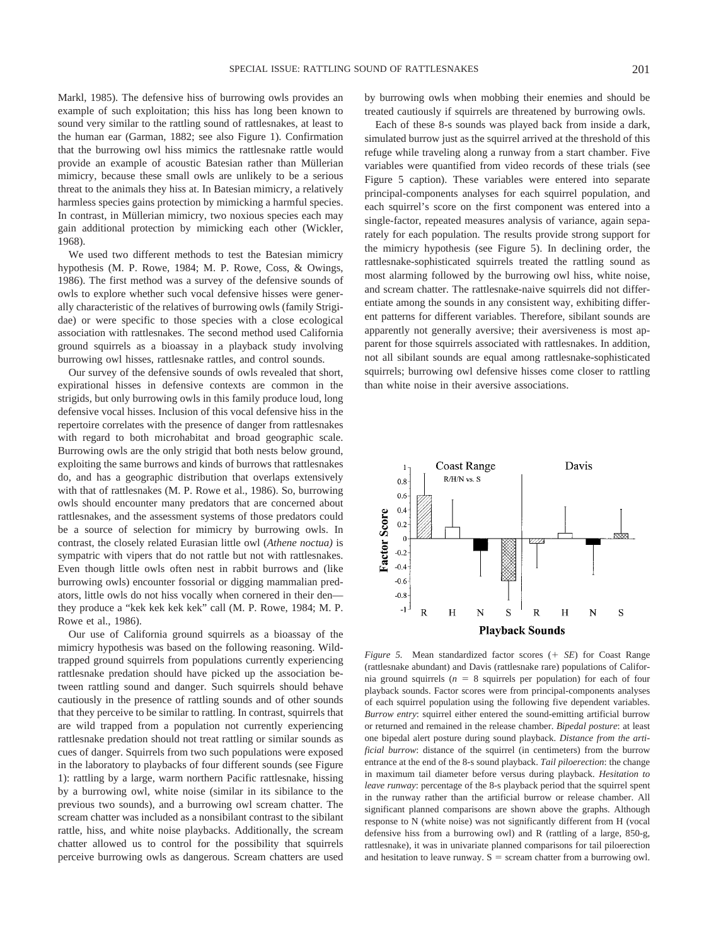Markl, 1985). The defensive hiss of burrowing owls provides an example of such exploitation; this hiss has long been known to sound very similar to the rattling sound of rattlesnakes, at least to the human ear (Garman, 1882; see also Figure 1). Confirmation that the burrowing owl hiss mimics the rattlesnake rattle would provide an example of acoustic Batesian rather than Müllerian mimicry, because these small owls are unlikely to be a serious threat to the animals they hiss at. In Batesian mimicry, a relatively harmless species gains protection by mimicking a harmful species. In contrast, in Müllerian mimicry, two noxious species each may gain additional protection by mimicking each other (Wickler, 1968).

We used two different methods to test the Batesian mimicry hypothesis (M. P. Rowe, 1984; M. P. Rowe, Coss, & Owings, 1986). The first method was a survey of the defensive sounds of owls to explore whether such vocal defensive hisses were generally characteristic of the relatives of burrowing owls (family Strigidae) or were specific to those species with a close ecological association with rattlesnakes. The second method used California ground squirrels as a bioassay in a playback study involving burrowing owl hisses, rattlesnake rattles, and control sounds.

Our survey of the defensive sounds of owls revealed that short, expirational hisses in defensive contexts are common in the strigids, but only burrowing owls in this family produce loud, long defensive vocal hisses. Inclusion of this vocal defensive hiss in the repertoire correlates with the presence of danger from rattlesnakes with regard to both microhabitat and broad geographic scale. Burrowing owls are the only strigid that both nests below ground, exploiting the same burrows and kinds of burrows that rattlesnakes do, and has a geographic distribution that overlaps extensively with that of rattlesnakes (M. P. Rowe et al., 1986). So, burrowing owls should encounter many predators that are concerned about rattlesnakes, and the assessment systems of those predators could be a source of selection for mimicry by burrowing owls. In contrast, the closely related Eurasian little owl (*Athene noctua)* is sympatric with vipers that do not rattle but not with rattlesnakes. Even though little owls often nest in rabbit burrows and (like burrowing owls) encounter fossorial or digging mammalian predators, little owls do not hiss vocally when cornered in their den they produce a "kek kek kek kek" call (M. P. Rowe, 1984; M. P. Rowe et al., 1986).

Our use of California ground squirrels as a bioassay of the mimicry hypothesis was based on the following reasoning. Wildtrapped ground squirrels from populations currently experiencing rattlesnake predation should have picked up the association between rattling sound and danger. Such squirrels should behave cautiously in the presence of rattling sounds and of other sounds that they perceive to be similar to rattling. In contrast, squirrels that are wild trapped from a population not currently experiencing rattlesnake predation should not treat rattling or similar sounds as cues of danger. Squirrels from two such populations were exposed in the laboratory to playbacks of four different sounds (see Figure 1): rattling by a large, warm northern Pacific rattlesnake, hissing by a burrowing owl, white noise (similar in its sibilance to the previous two sounds), and a burrowing owl scream chatter. The scream chatter was included as a nonsibilant contrast to the sibilant rattle, hiss, and white noise playbacks. Additionally, the scream chatter allowed us to control for the possibility that squirrels perceive burrowing owls as dangerous. Scream chatters are used

by burrowing owls when mobbing their enemies and should be treated cautiously if squirrels are threatened by burrowing owls.

Each of these 8-s sounds was played back from inside a dark, simulated burrow just as the squirrel arrived at the threshold of this refuge while traveling along a runway from a start chamber. Five variables were quantified from video records of these trials (see Figure 5 caption). These variables were entered into separate principal-components analyses for each squirrel population, and each squirrel's score on the first component was entered into a single-factor, repeated measures analysis of variance, again separately for each population. The results provide strong support for the mimicry hypothesis (see Figure 5). In declining order, the rattlesnake-sophisticated squirrels treated the rattling sound as most alarming followed by the burrowing owl hiss, white noise, and scream chatter. The rattlesnake-naive squirrels did not differentiate among the sounds in any consistent way, exhibiting different patterns for different variables. Therefore, sibilant sounds are apparently not generally aversive; their aversiveness is most apparent for those squirrels associated with rattlesnakes. In addition, not all sibilant sounds are equal among rattlesnake-sophisticated squirrels; burrowing owl defensive hisses come closer to rattling than white noise in their aversive associations.



*Figure 5.* Mean standardized factor scores (+ SE) for Coast Range (rattlesnake abundant) and Davis (rattlesnake rare) populations of California ground squirrels  $(n = 8$  squirrels per population) for each of four playback sounds. Factor scores were from principal-components analyses of each squirrel population using the following five dependent variables. *Burrow entry*: squirrel either entered the sound-emitting artificial burrow or returned and remained in the release chamber. *Bipedal posture*: at least one bipedal alert posture during sound playback. *Distance from the artificial burrow*: distance of the squirrel (in centimeters) from the burrow entrance at the end of the 8-s sound playback. *Tail piloerection*: the change in maximum tail diameter before versus during playback. *Hesitation to leave runway*: percentage of the 8-s playback period that the squirrel spent in the runway rather than the artificial burrow or release chamber. All significant planned comparisons are shown above the graphs. Although response to N (white noise) was not significantly different from H (vocal defensive hiss from a burrowing owl) and R (rattling of a large, 850-g, rattlesnake), it was in univariate planned comparisons for tail piloerection and hesitation to leave runway.  $S =$  scream chatter from a burrowing owl.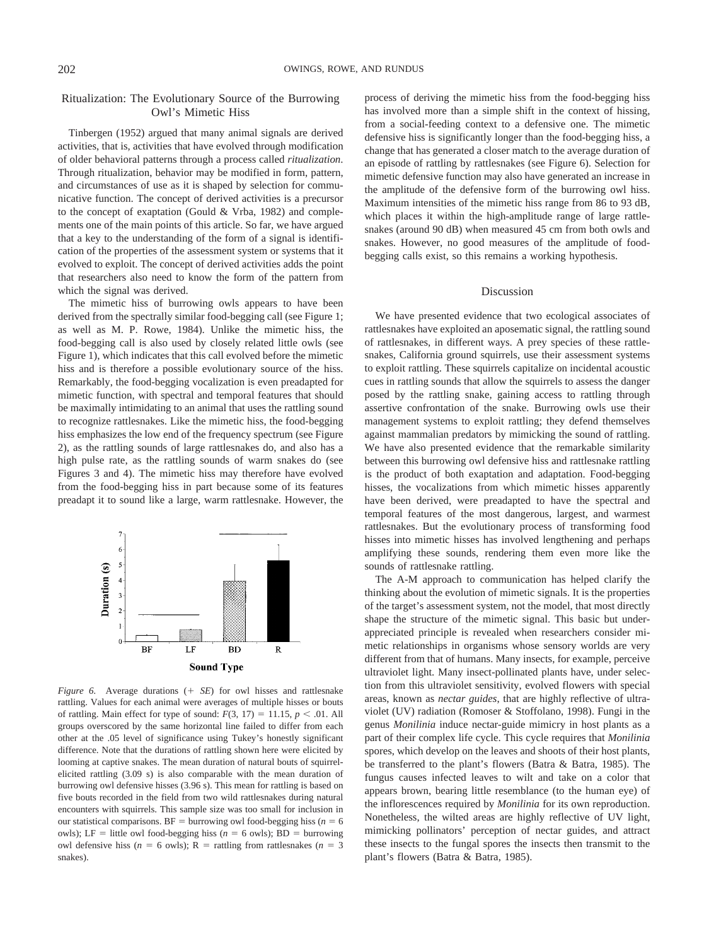## Ritualization: The Evolutionary Source of the Burrowing Owl's Mimetic Hiss

Tinbergen (1952) argued that many animal signals are derived activities, that is, activities that have evolved through modification of older behavioral patterns through a process called *ritualization*. Through ritualization, behavior may be modified in form, pattern, and circumstances of use as it is shaped by selection for communicative function. The concept of derived activities is a precursor to the concept of exaptation (Gould & Vrba, 1982) and complements one of the main points of this article. So far, we have argued that a key to the understanding of the form of a signal is identification of the properties of the assessment system or systems that it evolved to exploit. The concept of derived activities adds the point that researchers also need to know the form of the pattern from which the signal was derived.

The mimetic hiss of burrowing owls appears to have been derived from the spectrally similar food-begging call (see Figure 1; as well as M. P. Rowe, 1984). Unlike the mimetic hiss, the food-begging call is also used by closely related little owls (see Figure 1), which indicates that this call evolved before the mimetic hiss and is therefore a possible evolutionary source of the hiss. Remarkably, the food-begging vocalization is even preadapted for mimetic function, with spectral and temporal features that should be maximally intimidating to an animal that uses the rattling sound to recognize rattlesnakes. Like the mimetic hiss, the food-begging hiss emphasizes the low end of the frequency spectrum (see Figure 2), as the rattling sounds of large rattlesnakes do, and also has a high pulse rate, as the rattling sounds of warm snakes do (see Figures 3 and 4). The mimetic hiss may therefore have evolved from the food-begging hiss in part because some of its features preadapt it to sound like a large, warm rattlesnake. However, the



*Figure 6.* Average durations (+ SE) for owl hisses and rattlesnake rattling. Values for each animal were averages of multiple hisses or bouts of rattling. Main effect for type of sound:  $F(3, 17) = 11.15$ ,  $p < .01$ . All groups overscored by the same horizontal line failed to differ from each other at the .05 level of significance using Tukey's honestly significant difference. Note that the durations of rattling shown here were elicited by looming at captive snakes. The mean duration of natural bouts of squirrelelicited rattling (3.09 s) is also comparable with the mean duration of burrowing owl defensive hisses (3.96 s). This mean for rattling is based on five bouts recorded in the field from two wild rattlesnakes during natural encounters with squirrels. This sample size was too small for inclusion in our statistical comparisons.  $BF =$  burrowing owl food-begging hiss ( $n = 6$ ) owls); LF = little owl food-begging hiss ( $n = 6$  owls); BD = burrowing owl defensive hiss ( $n = 6$  owls); R = rattling from rattlesnakes ( $n = 3$ snakes).

process of deriving the mimetic hiss from the food-begging hiss has involved more than a simple shift in the context of hissing, from a social-feeding context to a defensive one. The mimetic defensive hiss is significantly longer than the food-begging hiss, a change that has generated a closer match to the average duration of an episode of rattling by rattlesnakes (see Figure 6). Selection for mimetic defensive function may also have generated an increase in the amplitude of the defensive form of the burrowing owl hiss. Maximum intensities of the mimetic hiss range from 86 to 93 dB, which places it within the high-amplitude range of large rattlesnakes (around 90 dB) when measured 45 cm from both owls and snakes. However, no good measures of the amplitude of foodbegging calls exist, so this remains a working hypothesis.

#### Discussion

We have presented evidence that two ecological associates of rattlesnakes have exploited an aposematic signal, the rattling sound of rattlesnakes, in different ways. A prey species of these rattlesnakes, California ground squirrels, use their assessment systems to exploit rattling. These squirrels capitalize on incidental acoustic cues in rattling sounds that allow the squirrels to assess the danger posed by the rattling snake, gaining access to rattling through assertive confrontation of the snake. Burrowing owls use their management systems to exploit rattling; they defend themselves against mammalian predators by mimicking the sound of rattling. We have also presented evidence that the remarkable similarity between this burrowing owl defensive hiss and rattlesnake rattling is the product of both exaptation and adaptation. Food-begging hisses, the vocalizations from which mimetic hisses apparently have been derived, were preadapted to have the spectral and temporal features of the most dangerous, largest, and warmest rattlesnakes. But the evolutionary process of transforming food hisses into mimetic hisses has involved lengthening and perhaps amplifying these sounds, rendering them even more like the sounds of rattlesnake rattling.

The A-M approach to communication has helped clarify the thinking about the evolution of mimetic signals. It is the properties of the target's assessment system, not the model, that most directly shape the structure of the mimetic signal. This basic but underappreciated principle is revealed when researchers consider mimetic relationships in organisms whose sensory worlds are very different from that of humans. Many insects, for example, perceive ultraviolet light. Many insect-pollinated plants have, under selection from this ultraviolet sensitivity, evolved flowers with special areas, known as *nectar guides*, that are highly reflective of ultraviolet (UV) radiation (Romoser & Stoffolano, 1998). Fungi in the genus *Monilinia* induce nectar-guide mimicry in host plants as a part of their complex life cycle. This cycle requires that *Monilinia* spores, which develop on the leaves and shoots of their host plants, be transferred to the plant's flowers (Batra & Batra, 1985). The fungus causes infected leaves to wilt and take on a color that appears brown, bearing little resemblance (to the human eye) of the inflorescences required by *Monilinia* for its own reproduction. Nonetheless, the wilted areas are highly reflective of UV light, mimicking pollinators' perception of nectar guides, and attract these insects to the fungal spores the insects then transmit to the plant's flowers (Batra & Batra, 1985).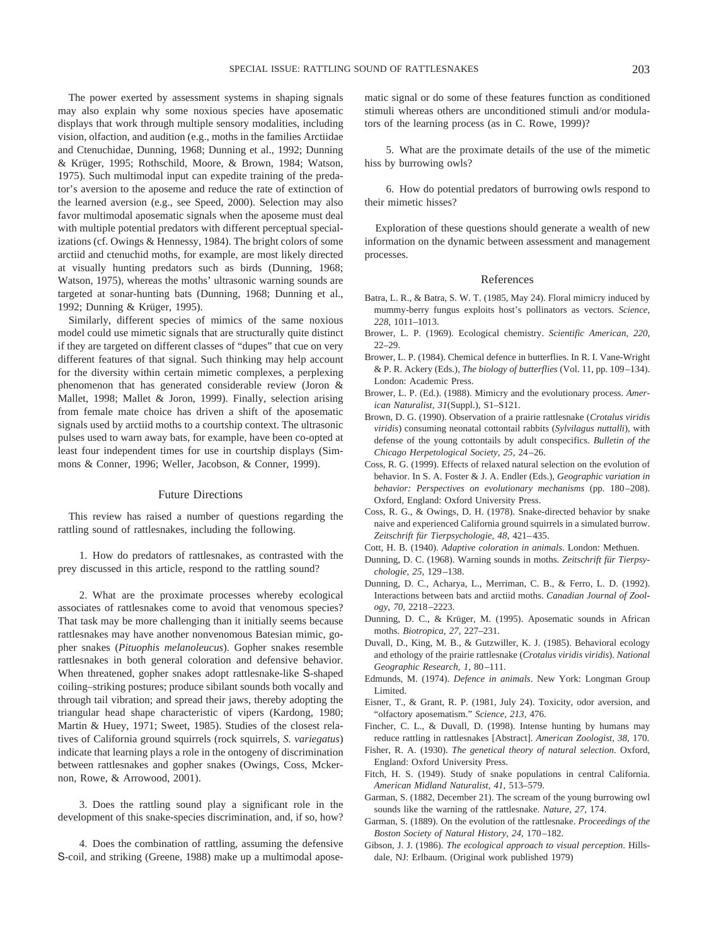The power exerted by assessment systems in shaping signals may also explain why some noxious species have aposematic displays that work through multiple sensory modalities, including vision, olfaction, and audition (e.g., moths in the families Arctiidae and Ctenuchidae, Dunning, 1968; Dunning et al., 1992; Dunning & Krüger, 1995; Rothschild, Moore, & Brown, 1984; Watson, 1975). Such multimodal input can expedite training of the predator's aversion to the aposeme and reduce the rate of extinction of the learned aversion (e.g., see Speed, 2000). Selection may also favor multimodal aposematic signals when the aposeme must deal with multiple potential predators with different perceptual specializations (cf. Owings & Hennessy, 1984). The bright colors of some arctiid and ctenuchid moths, for example, are most likely directed at visually hunting predators such as birds (Dunning, 1968; Watson, 1975), whereas the moths' ultrasonic warning sounds are targeted at sonar-hunting bats (Dunning, 1968; Dunning et al., 1992; Dunning & Krüger, 1995).

Similarly, different species of mimics of the same noxious model could use mimetic signals that are structurally quite distinct if they are targeted on different classes of "dupes" that cue on very different features of that signal. Such thinking may help account for the diversity within certain mimetic complexes, a perplexing phenomenon that has generated considerable review (Joron & Mallet, 1998; Mallet & Joron, 1999). Finally, selection arising from female mate choice has driven a shift of the aposematic signals used by arctiid moths to a courtship context. The ultrasonic pulses used to warn away bats, for example, have been co-opted at least four independent times for use in courtship displays (Simmons & Conner, 1996; Weller, Jacobson, & Conner, 1999).

#### Future Directions

This review has raised a number of questions regarding the rattling sound of rattlesnakes, including the following.

1. How do predators of rattlesnakes, as contrasted with the prey discussed in this article, respond to the rattling sound?

2. What are the proximate processes whereby ecological associates of rattlesnakes come to avoid that venomous species? That task may be more challenging than it initially seems because rattlesnakes may have another nonvenomous Batesian mimic, gopher snakes (*Pituophis melanoleucus*). Gopher snakes resemble rattlesnakes in both general coloration and defensive behavior. When threatened, gopher snakes adopt rattlesnake-like S-shaped coiling–striking postures; produce sibilant sounds both vocally and through tail vibration; and spread their jaws, thereby adopting the triangular head shape characteristic of vipers (Kardong, 1980; Martin & Huey, 1971; Sweet, 1985). Studies of the closest relatives of California ground squirrels (rock squirrels, *S. variegatus*) indicate that learning plays a role in the ontogeny of discrimination between rattlesnakes and gopher snakes (Owings, Coss, Mckernon, Rowe, & Arrowood, 2001).

3. Does the rattling sound play a significant role in the development of this snake-species discrimination, and, if so, how?

4. Does the combination of rattling, assuming the defensive S-coil, and striking (Greene, 1988) make up a multimodal aposematic signal or do some of these features function as conditioned stimuli whereas others are unconditioned stimuli and/or modulators of the learning process (as in C. Rowe, 1999)?

5. What are the proximate details of the use of the mimetic hiss by burrowing owls?

6. How do potential predators of burrowing owls respond to their mimetic hisses?

Exploration of these questions should generate a wealth of new information on the dynamic between assessment and management processes.

#### References

- Batra, L. R., & Batra, S. W. T. (1985, May 24). Floral mimicry induced by mummy-berry fungus exploits host's pollinators as vectors. *Science, 228*, 1011–1013.
- Brower, L. P. (1969). Ecological chemistry. *Scientific American, 220*, 22–29.
- Brower, L. P. (1984). Chemical defence in butterflies. In R. I. Vane-Wright & P. R. Ackery (Eds.), *The biology of butterflies* (Vol. 11, pp. 109–134). London: Academic Press.
- Brower, L. P. (Ed.). (1988). Mimicry and the evolutionary process. *American Naturalist, 31*(Suppl.), S1–S121.
- Brown, D. G. (1990). Observation of a prairie rattlesnake (*Crotalus viridis viridis*) consuming neonatal cottontail rabbits (*Sylvilagus nuttalli*), with defense of the young cottontails by adult conspecifics. *Bulletin of the Chicago Herpetological Society, 25*, 24–26.
- Coss, R. G. (1999). Effects of relaxed natural selection on the evolution of behavior. In S. A. Foster & J. A. Endler (Eds.), *Geographic variation in behavior: Perspectives on evolutionary mechanisms* (pp. 180–208). Oxford, England: Oxford University Press.
- Coss, R. G., & Owings, D. H. (1978). Snake-directed behavior by snake naive and experienced California ground squirrels in a simulated burrow. *Zeitschrift fu¨r Tierpsychologie, 48*, 421–435.
- Cott, H. B. (1940). *Adaptive coloration in animals*. London: Methuen.
- Dunning, D. C. (1968). Warning sounds in moths. Zeitschrift für Tierpsy*chologie, 25*, 129–138.
- Dunning, D. C., Acharya, L., Merriman, C. B., & Ferro, L. D. (1992). Interactions between bats and arctiid moths. *Canadian Journal of Zoology, 70*, 2218–2223.
- Dunning, D. C., & Krüger, M. (1995). Aposematic sounds in African moths. *Biotropica, 27*, 227–231.
- Duvall, D., King, M. B., & Gutzwiller, K. J. (1985). Behavioral ecology and ethology of the prairie rattlesnake (*Crotalus viridis viridis*). *National Geographic Research, 1*, 80–111.
- Edmunds, M. (1974). *Defence in animals*. New York: Longman Group Limited.
- Eisner, T., & Grant, R. P. (1981, July 24). Toxicity, odor aversion, and "olfactory aposematism." *Science, 213*, 476.
- Fincher, C. L., & Duvall, D. (1998). Intense hunting by humans may reduce rattling in rattlesnakes [Abstract]. *American Zoologist, 38*, 170.
- Fisher, R. A. (1930). *The genetical theory of natural selection*. Oxford, England: Oxford University Press.
- Fitch, H. S. (1949). Study of snake populations in central California. *American Midland Naturalist, 41*, 513–579.
- Garman, S. (1882, December 21). The scream of the young burrowing owl sounds like the warning of the rattlesnake. *Nature, 27*, 174.
- Garman, S. (1889). On the evolution of the rattlesnake. *Proceedings of the Boston Society of Natural History, 24*, 170–182.
- Gibson, J. J. (1986). *The ecological approach to visual perception*. Hillsdale, NJ: Erlbaum. (Original work published 1979)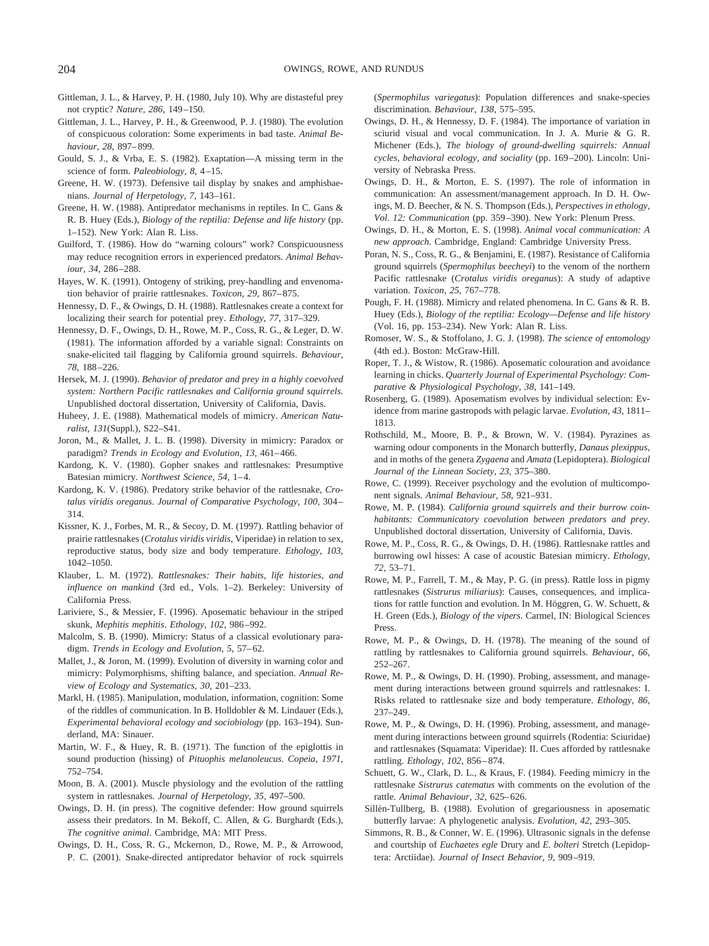- Gittleman, J. L., & Harvey, P. H. (1980, July 10). Why are distasteful prey not cryptic? *Nature, 286*, 149–150.
- Gittleman, J. L., Harvey, P. H., & Greenwood, P. J. (1980). The evolution of conspicuous coloration: Some experiments in bad taste. *Animal Behaviour, 28*, 897–899.
- Gould, S. J., & Vrba, E. S. (1982). Exaptation—A missing term in the science of form. *Paleobiology, 8*, 4–15.
- Greene, H. W. (1973). Defensive tail display by snakes and amphisbaenians. *Journal of Herpetology, 7*, 143–161.
- Greene, H. W. (1988). Antipredator mechanisms in reptiles. In C. Gans & R. B. Huey (Eds.), *Biology of the reptilia: Defense and life history* (pp. 1–152). New York: Alan R. Liss.
- Guilford, T. (1986). How do "warning colours" work? Conspicuousness may reduce recognition errors in experienced predators. *Animal Behaviour, 34*, 286–288.
- Hayes, W. K. (1991). Ontogeny of striking, prey-handling and envenomation behavior of prairie rattlesnakes. *Toxicon, 29*, 867–875.
- Hennessy, D. F., & Owings, D. H. (1988). Rattlesnakes create a context for localizing their search for potential prey. *Ethology, 77*, 317–329.
- Hennessy, D. F., Owings, D. H., Rowe, M. P., Coss, R. G., & Leger, D. W. (1981). The information afforded by a variable signal: Constraints on snake-elicited tail flagging by California ground squirrels. *Behaviour, 78*, 188–226.
- Hersek, M. J. (1990). *Behavior of predator and prey in a highly coevolved system: Northern Pacific rattlesnakes and California ground squirrels.* Unpublished doctoral dissertation, University of California, Davis.
- Huheey, J. E. (1988). Mathematical models of mimicry. *American Naturalist, 131*(Suppl.), S22–S41.
- Joron, M., & Mallet, J. L. B. (1998). Diversity in mimicry: Paradox or paradigm? *Trends in Ecology and Evolution, 13*, 461–466.
- Kardong, K. V. (1980). Gopher snakes and rattlesnakes: Presumptive Batesian mimicry. *Northwest Science, 54*, 1–4.
- Kardong, K. V. (1986). Predatory strike behavior of the rattlesnake, *Crotalus viridis oreganus*. *Journal of Comparative Psychology, 100*, 304– 314.
- Kissner, K. J., Forbes, M. R., & Secoy, D. M. (1997). Rattling behavior of prairie rattlesnakes (*Crotalus viridis viridis*, Viperidae) in relation to sex, reproductive status, body size and body temperature. *Ethology, 103*, 1042–1050.
- Klauber, L. M. (1972). *Rattlesnakes: Their habits, life histories, and influence on mankind* (3rd ed., Vols. 1–2). Berkeley: University of California Press.
- Lariviere, S., & Messier, F. (1996). Aposematic behaviour in the striped skunk, *Mephitis mephitis*. *Ethology, 102*, 986–992.
- Malcolm, S. B. (1990). Mimicry: Status of a classical evolutionary paradigm. *Trends in Ecology and Evolution, 5*, 57–62.
- Mallet, J., & Joron, M. (1999). Evolution of diversity in warning color and mimicry: Polymorphisms, shifting balance, and speciation. *Annual Review of Ecology and Systematics, 30*, 201–233.
- Markl, H. (1985). Manipulation, modulation, information, cognition: Some of the riddles of communication. In B. Holldobler & M. Lindauer (Eds.), *Experimental behavioral ecology and sociobiology* (pp. 163–194). Sunderland, MA: Sinauer.
- Martin, W. F., & Huey, R. B. (1971). The function of the epiglottis in sound production (hissing) of *Pituophis melanoleucus*. *Copeia, 1971*, 752–754.
- Moon, B. A. (2001). Muscle physiology and the evolution of the rattling system in rattlesnakes. *Journal of Herpetology, 35,* 497–500.
- Owings, D. H. (in press). The cognitive defender: How ground squirrels assess their predators. In M. Bekoff, C. Allen, & G. Burghardt (Eds.), *The cognitive animal*. Cambridge, MA: MIT Press.
- Owings, D. H., Coss, R. G., Mckernon, D., Rowe, M. P., & Arrowood, P. C. (2001). Snake-directed antipredator behavior of rock squirrels

(*Spermophilus variegatus*): Population differences and snake-species discrimination. *Behaviour*, *138*, 575–595.

- Owings, D. H., & Hennessy, D. F. (1984). The importance of variation in sciurid visual and vocal communication. In J. A. Murie & G. R. Michener (Eds.), *The biology of ground-dwelling squirrels: Annual cycles, behavioral ecology, and sociality* (pp. 169–200). Lincoln: University of Nebraska Press.
- Owings, D. H., & Morton, E. S. (1997). The role of information in communication: An assessment/management approach. In D. H. Owings, M. D. Beecher, & N. S. Thompson (Eds.), *Perspectives in ethology, Vol. 12: Communication* (pp. 359–390). New York: Plenum Press.
- Owings, D. H., & Morton, E. S. (1998). *Animal vocal communication: A new approach*. Cambridge, England: Cambridge University Press.
- Poran, N. S., Coss, R. G., & Benjamini, E. (1987). Resistance of California ground squirrels (*Spermophilus beecheyi*) to the venom of the northern Pacific rattlesnake (*Crotalus viridis oreganus*): A study of adaptive variation. *Toxicon, 25*, 767–778.
- Pough, F. H. (1988). Mimicry and related phenomena. In C. Gans & R. B. Huey (Eds.), *Biology of the reptilia: Ecology—Defense and life history* (Vol. 16, pp. 153–234). New York: Alan R. Liss.
- Romoser, W. S., & Stoffolano, J. G. J. (1998). *The science of entomology* (4th ed.). Boston: McGraw-Hill.
- Roper, T. J., & Wistow, R. (1986). Aposematic colouration and avoidance learning in chicks. *Quarterly Journal of Experimental Psychology: Comparative & Physiological Psychology, 38*, 141–149.
- Rosenberg, G. (1989). Aposematism evolves by individual selection: Evidence from marine gastropods with pelagic larvae. *Evolution, 43*, 1811– 1813.
- Rothschild, M., Moore, B. P., & Brown, W. V. (1984). Pyrazines as warning odour components in the Monarch butterfly, *Danaus plexippus*, and in moths of the genera *Zygaena* and *Amata* (Lepidoptera). *Biological Journal of the Linnean Society, 23*, 375–380.
- Rowe, C. (1999). Receiver psychology and the evolution of multicomponent signals. *Animal Behaviour, 58*, 921–931.
- Rowe, M. P. (1984). *California ground squirrels and their burrow coinhabitants: Communicatory coevolution between predators and prey.* Unpublished doctoral dissertation, University of California, Davis.
- Rowe, M. P., Coss, R. G., & Owings, D. H. (1986). Rattlesnake rattles and burrowing owl hisses: A case of acoustic Batesian mimicry. *Ethology, 72*, 53–71.
- Rowe, M. P., Farrell, T. M., & May, P. G. (in press). Rattle loss in pigmy rattlesnakes (*Sistrurus miliarius*): Causes, consequences, and implications for rattle function and evolution. In M. Höggren, G. W. Schuett,  $\&$ H. Green (Eds.), *Biology of the vipers*. Carmel, IN: Biological Sciences Press.
- Rowe, M. P., & Owings, D. H. (1978). The meaning of the sound of rattling by rattlesnakes to California ground squirrels. *Behaviour, 66*, 252–267.
- Rowe, M. P., & Owings, D. H. (1990). Probing, assessment, and management during interactions between ground squirrels and rattlesnakes: I. Risks related to rattlesnake size and body temperature. *Ethology, 86*, 237–249.
- Rowe, M. P., & Owings, D. H. (1996). Probing, assessment, and management during interactions between ground squirrels (Rodentia: Sciuridae) and rattlesnakes (Squamata: Viperidae): II. Cues afforded by rattlesnake rattling. *Ethology, 102*, 856–874.
- Schuett, G. W., Clark, D. L., & Kraus, F. (1984). Feeding mimicry in the rattlesnake *Sistrurus catematus* with comments on the evolution of the rattle. *Animal Behaviour, 32*, 625–626.
- Sillén-Tullberg, B. (1988). Evolution of gregariousness in aposematic butterfly larvae: A phylogenetic analysis. *Evolution, 42*, 293–305.
- Simmons, R. B., & Conner, W. E. (1996). Ultrasonic signals in the defense and courtship of *Euchaetes egle* Drury and *E. bolteri* Stretch (Lepidoptera: Arctiidae). *Journal of Insect Behavior, 9*, 909–919.